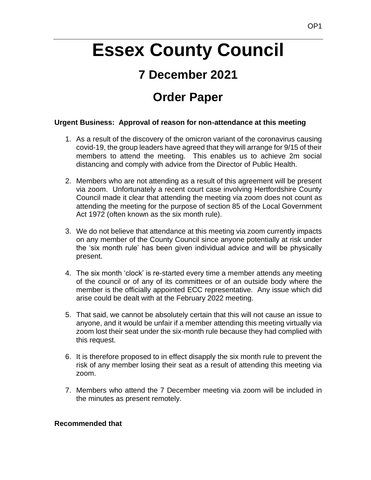# **Essex County Council**

# **7 December 2021**

# **Order Paper**

# **Urgent Business: Approval of reason for non-attendance at this meeting**

- 1. As a result of the discovery of the omicron variant of the coronavirus causing covid-19, the group leaders have agreed that they will arrange for 9/15 of their members to attend the meeting. This enables us to achieve 2m social distancing and comply with advice from the Director of Public Health.
- 2. Members who are not attending as a result of this agreement will be present via zoom. Unfortunately a recent court case involving Hertfordshire County Council made it clear that attending the meeting via zoom does not count as attending the meeting for the purpose of section 85 of the Local Government Act 1972 (often known as the six month rule).
- 3. We do not believe that attendance at this meeting via zoom currently impacts on any member of the County Council since anyone potentially at risk under the 'six month rule' has been given individual advice and will be physically present.
- 4. The six month 'clock' is re-started every time a member attends any meeting of the council or of any of its committees or of an outside body where the member is the officially appointed ECC representative. Any issue which did arise could be dealt with at the February 2022 meeting.
- 5. That said, we cannot be absolutely certain that this will not cause an issue to anyone, and it would be unfair if a member attending this meeting virtually via zoom lost their seat under the six-month rule because they had complied with this request.
- 6. It is therefore proposed to in effect disapply the six month rule to prevent the risk of any member losing their seat as a result of attending this meeting via zoom.
- 7. Members who attend the 7 December meeting via zoom will be included in the minutes as present remotely.

#### **Recommended that**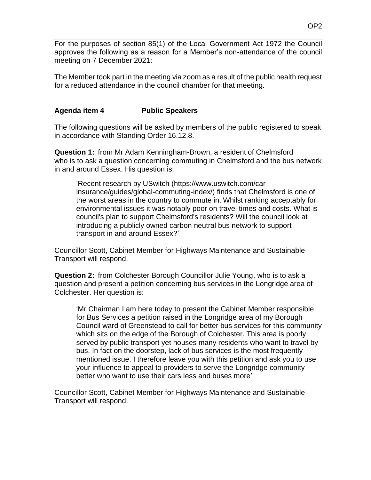For the purposes of section 85(1) of the Local Government Act 1972 the Council approves the following as a reason for a Member's non-attendance of the council meeting on 7 December 2021:

The Member took part in the meeting via zoom as a result of the public health request for a reduced attendance in the council chamber for that meeting.

# **Agenda item 4 Public Speakers**

The following questions will be asked by members of the public registered to speak in accordance with Standing Order 16.12.8.

**Question 1:** from Mr Adam Kenningham-Brown, a resident of Chelmsford who is to ask a question concerning commuting in Chelmsford and the bus network in and around Essex. His question is:

'Recent research by USwitch (https://www.uswitch.com/carinsurance/guides/global-commuting-index/) finds that Chelmsford is one of the worst areas in the country to commute in. Whilst ranking acceptably for environmental issues it was notably poor on travel times and costs. What is council's plan to support Chelmsford's residents? Will the council look at introducing a publicly owned carbon neutral bus network to support transport in and around Essex?'

Councillor Scott, Cabinet Member for Highways Maintenance and Sustainable Transport will respond.

**Question 2:** from Colchester Borough Councillor Julie Young, who is to ask a question and present a petition concerning bus services in the Longridge area of Colchester. Her question is:

'Mr Chairman I am here today to present the Cabinet Member responsible for Bus Services a petition raised in the Longridge area of my Borough Council ward of Greenstead to call for better bus services for this community which sits on the edge of the Borough of Colchester. This area is poorly served by public transport yet houses many residents who want to travel by bus. In fact on the doorstep, lack of bus services is the most frequently mentioned issue. I therefore leave you with this petition and ask you to use your influence to appeal to providers to serve the Longridge community better who want to use their cars less and buses more'

Councillor Scott, Cabinet Member for Highways Maintenance and Sustainable Transport will respond.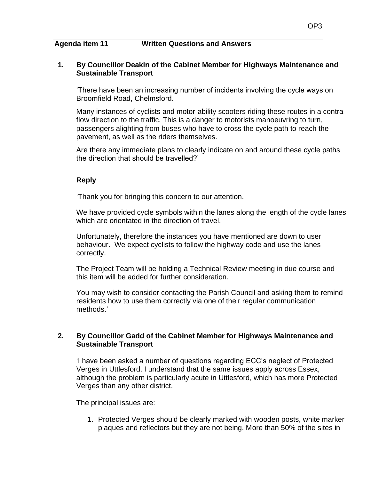#### **Agenda item 11 Written Questions and Answers**

#### **1. By Councillor Deakin of the Cabinet Member for Highways Maintenance and Sustainable Transport**

'There have been an increasing number of incidents involving the cycle ways on Broomfield Road, Chelmsford.

Many instances of cyclists and motor-ability scooters riding these routes in a contraflow direction to the traffic. This is a danger to motorists manoeuvring to turn, passengers alighting from buses who have to cross the cycle path to reach the pavement, as well as the riders themselves.

Are there any immediate plans to clearly indicate on and around these cycle paths the direction that should be travelled?'

# **Reply**

'Thank you for bringing this concern to our attention.

We have provided cycle symbols within the lanes along the length of the cycle lanes which are orientated in the direction of travel.

Unfortunately, therefore the instances you have mentioned are down to user behaviour. We expect cyclists to follow the highway code and use the lanes correctly.

The Project Team will be holding a Technical Review meeting in due course and this item will be added for further consideration.

You may wish to consider contacting the Parish Council and asking them to remind residents how to use them correctly via one of their regular communication methods.'

## **2. By Councillor Gadd of the Cabinet Member for Highways Maintenance and Sustainable Transport**

'I have been asked a number of questions regarding ECC's neglect of Protected Verges in Uttlesford. I understand that the same issues apply across Essex, although the problem is particularly acute in Uttlesford, which has more Protected Verges than any other district.

The principal issues are:

1. Protected Verges should be clearly marked with wooden posts, white marker plaques and reflectors but they are not being. More than 50% of the sites in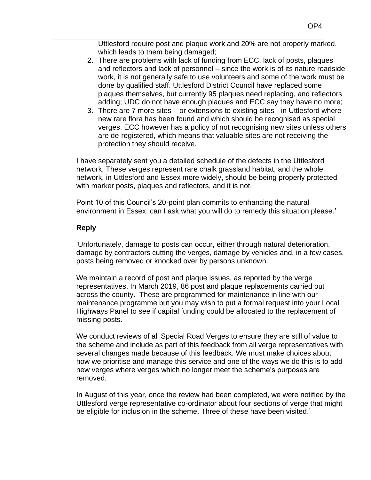Uttlesford require post and plaque work and 20% are not properly marked, which leads to them being damaged;

- 2. There are problems with lack of funding from ECC, lack of posts, plaques and reflectors and lack of personnel – since the work is of its nature roadside work, it is not generally safe to use volunteers and some of the work must be done by qualified staff. Uttlesford District Council have replaced some plaques themselves, but currently 95 plaques need replacing, and reflectors adding; UDC do not have enough plaques and ECC say they have no more;
- 3. There are 7 more sites or extensions to existing sites in Uttlesford where new rare flora has been found and which should be recognised as special verges. ECC however has a policy of not recognising new sites unless others are de-registered, which means that valuable sites are not receiving the protection they should receive.

I have separately sent you a detailed schedule of the defects in the Uttlesford network. These verges represent rare chalk grassland habitat, and the whole network, in Uttlesford and Essex more widely, should be being properly protected with marker posts, plaques and reflectors, and it is not.

Point 10 of this Council's 20-point plan commits to enhancing the natural environment in Essex; can I ask what you will do to remedy this situation please.'

#### **Reply**

'Unfortunately, damage to posts can occur, either through natural deterioration, damage by contractors cutting the verges, damage by vehicles and, in a few cases, posts being removed or knocked over by persons unknown.

We maintain a record of post and plaque issues, as reported by the verge representatives. In March 2019, 86 post and plaque replacements carried out across the county. These are programmed for maintenance in line with our maintenance programme but you may wish to put a formal request into your Local Highways Panel to see if capital funding could be allocated to the replacement of missing posts.

We conduct reviews of all Special Road Verges to ensure they are still of value to the scheme and include as part of this feedback from all verge representatives with several changes made because of this feedback. We must make choices about how we prioritise and manage this service and one of the ways we do this is to add new verges where verges which no longer meet the scheme's purposes are removed.

In August of this year, once the review had been completed, we were notified by the Uttlesford verge representative co-ordinator about four sections of verge that might be eligible for inclusion in the scheme. Three of these have been visited.'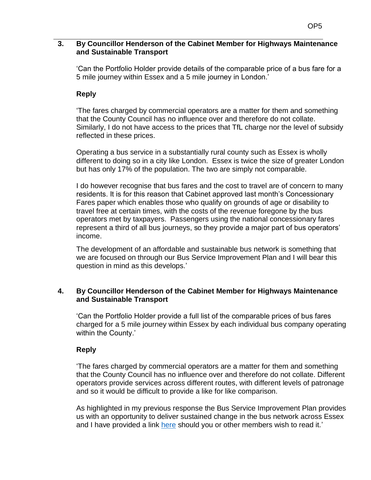### **3. By Councillor Henderson of the Cabinet Member for Highways Maintenance and Sustainable Transport**

'Can the Portfolio Holder provide details of the comparable price of a bus fare for a 5 mile journey within Essex and a 5 mile journey in London.'

## **Reply**

'The fares charged by commercial operators are a matter for them and something that the County Council has no influence over and therefore do not collate. Similarly, I do not have access to the prices that TfL charge nor the level of subsidy reflected in these prices.

Operating a bus service in a substantially rural county such as Essex is wholly different to doing so in a city like London. Essex is twice the size of greater London but has only 17% of the population. The two are simply not comparable.

I do however recognise that bus fares and the cost to travel are of concern to many residents. It is for this reason that Cabinet approved last month's Concessionary Fares paper which enables those who qualify on grounds of age or disability to travel free at certain times, with the costs of the revenue foregone by the bus operators met by taxpayers. Passengers using the national concessionary fares represent a third of all bus journeys, so they provide a major part of bus operators' income.

The development of an affordable and sustainable bus network is something that we are focused on through our Bus Service Improvement Plan and I will bear this question in mind as this develops.'

#### **4. By Councillor Henderson of the Cabinet Member for Highways Maintenance and Sustainable Transport**

'Can the Portfolio Holder provide a full list of the comparable prices of bus fares charged for a 5 mile journey within Essex by each individual bus company operating within the County.'

# **Reply**

'The fares charged by commercial operators are a matter for them and something that the County Council has no influence over and therefore do not collate. Different operators provide services across different routes, with different levels of patronage and so it would be difficult to provide a like for like comparison.

As highlighted in my previous response the Bus Service Improvement Plan provides us with an opportunity to deliver sustained change in the bus network across Essex and I have provided a link [here](https://www.essexhighways.org/getting-around/bus/bus-strategy) should you or other members wish to read it.'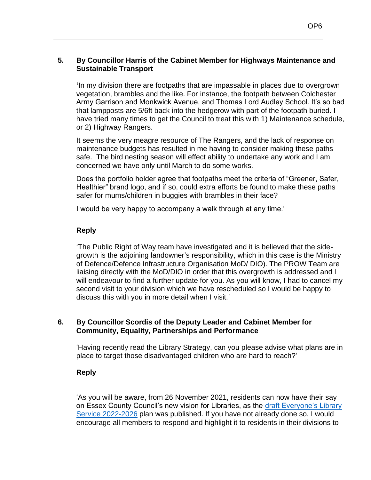## **5. By Councillor Harris of the Cabinet Member for Highways Maintenance and Sustainable Transport**

**'**In my division there are footpaths that are impassable in places due to overgrown vegetation, brambles and the like. For instance, the footpath between Colchester Army Garrison and Monkwick Avenue, and Thomas Lord Audley School. It's so bad that lampposts are 5/6ft back into the hedgerow with part of the footpath buried. I have tried many times to get the Council to treat this with 1) Maintenance schedule, or 2) Highway Rangers.

It seems the very meagre resource of The Rangers, and the lack of response on maintenance budgets has resulted in me having to consider making these paths safe. The bird nesting season will effect ability to undertake any work and I am concerned we have only until March to do some works.

Does the portfolio holder agree that footpaths meet the criteria of "Greener, Safer, Healthier" brand logo, and if so, could extra efforts be found to make these paths safer for mums/children in buggies with brambles in their face?

I would be very happy to accompany a walk through at any time.'

## **Reply**

'The Public Right of Way team have investigated and it is believed that the sidegrowth is the adjoining landowner's responsibility, which in this case is the Ministry of Defence/Defence Infrastructure Organisation MoD/ DIO). The PROW Team are liaising directly with the MoD/DIO in order that this overgrowth is addressed and I will endeavour to find a further update for you. As you will know, I had to cancel my second visit to your division which we have rescheduled so I would be happy to discuss this with you in more detail when I visit.'

## **6. By Councillor Scordis of the Deputy Leader and Cabinet Member for Community, Equality, Partnerships and Performance**

'Having recently read the Library Strategy, can you please advise what plans are in place to target those disadvantaged children who are hard to reach?'

# **Reply**

'As you will be aware, from 26 November 2021, residents can now have their say on Essex County Council's new vision for Libraries, as the draft Everyone's Library [Service 2022-2026](https://libraries.essex.gov.uk/everyoneslibrary/) plan was published. If you have not already done so, I would encourage all members to respond and highlight it to residents in their divisions to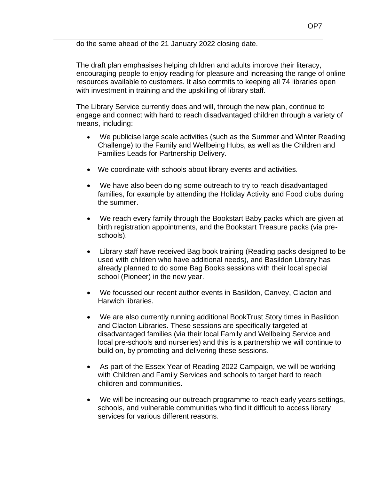do the same ahead of the 21 January 2022 closing date.

The draft plan emphasises helping children and adults improve their literacy, encouraging people to enjoy reading for pleasure and increasing the range of online resources available to customers. It also commits to keeping all 74 libraries open with investment in training and the upskilling of library staff.

The Library Service currently does and will, through the new plan, continue to engage and connect with hard to reach disadvantaged children through a variety of means, including:

- We publicise large scale activities (such as the Summer and Winter Reading Challenge) to the Family and Wellbeing Hubs, as well as the Children and Families Leads for Partnership Delivery.
- We coordinate with schools about library events and activities.
- We have also been doing some outreach to try to reach disadvantaged families, for example by attending the Holiday Activity and Food clubs during the summer.
- We reach every family through the Bookstart Baby packs which are given at birth registration appointments, and the Bookstart Treasure packs (via preschools).
- Library staff have received Bag book training (Reading packs designed to be used with children who have additional needs), and Basildon Library has already planned to do some Bag Books sessions with their local special school (Pioneer) in the new year.
- We focussed our recent author events in Basildon, Canvey, Clacton and Harwich libraries.
- We are also currently running additional BookTrust Story times in Basildon and Clacton Libraries. These sessions are specifically targeted at disadvantaged families (via their local Family and Wellbeing Service and local pre-schools and nurseries) and this is a partnership we will continue to build on, by promoting and delivering these sessions.
- As part of the Essex Year of Reading 2022 Campaign, we will be working with Children and Family Services and schools to target hard to reach children and communities.
- We will be increasing our outreach programme to reach early years settings, schools, and vulnerable communities who find it difficult to access library services for various different reasons.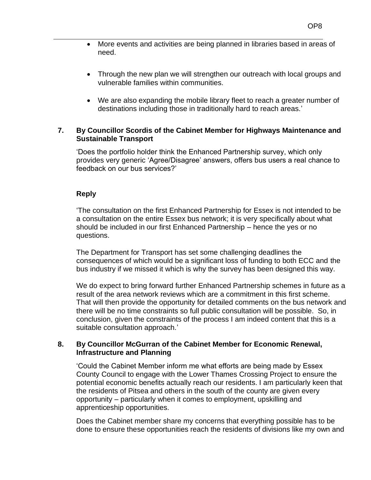- More events and activities are being planned in libraries based in areas of need.
- Through the new plan we will strengthen our outreach with local groups and vulnerable families within communities.
- We are also expanding the mobile library fleet to reach a greater number of destinations including those in traditionally hard to reach areas.'

#### **7. By Councillor Scordis of the Cabinet Member for Highways Maintenance and Sustainable Transport**

'Does the portfolio holder think the Enhanced Partnership survey, which only provides very generic 'Agree/Disagree' answers, offers bus users a real chance to feedback on our bus services?'

## **Reply**

'The consultation on the first Enhanced Partnership for Essex is not intended to be a consultation on the entire Essex bus network; it is very specifically about what should be included in our first Enhanced Partnership – hence the yes or no questions.

The Department for Transport has set some challenging deadlines the consequences of which would be a significant loss of funding to both ECC and the bus industry if we missed it which is why the survey has been designed this way.

We do expect to bring forward further Enhanced Partnership schemes in future as a result of the area network reviews which are a commitment in this first scheme. That will then provide the opportunity for detailed comments on the bus network and there will be no time constraints so full public consultation will be possible. So, in conclusion, given the constraints of the process I am indeed content that this is a suitable consultation approach.'

## **8. By Councillor McGurran of the Cabinet Member for Economic Renewal, Infrastructure and Planning**

'Could the Cabinet Member inform me what efforts are being made by Essex County Council to engage with the Lower Thames Crossing Project to ensure the potential economic benefits actually reach our residents. I am particularly keen that the residents of Pitsea and others in the south of the county are given every opportunity – particularly when it comes to employment, upskilling and apprenticeship opportunities.

Does the Cabinet member share my concerns that everything possible has to be done to ensure these opportunities reach the residents of divisions like my own and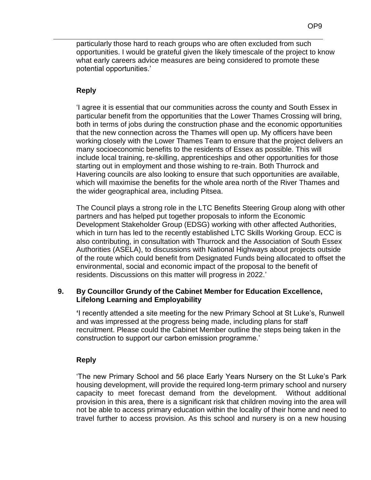particularly those hard to reach groups who are often excluded from such opportunities. I would be grateful given the likely timescale of the project to know what early careers advice measures are being considered to promote these potential opportunities.'

#### **Reply**

'I agree it is essential that our communities across the county and South Essex in particular benefit from the opportunities that the Lower Thames Crossing will bring, both in terms of jobs during the construction phase and the economic opportunities that the new connection across the Thames will open up. My officers have been working closely with the Lower Thames Team to ensure that the project delivers an many socioeconomic benefits to the residents of Essex as possible. This will include local training, re-skilling, apprenticeships and other opportunities for those starting out in employment and those wishing to re-train. Both Thurrock and Havering councils are also looking to ensure that such opportunities are available, which will maximise the benefits for the whole area north of the River Thames and the wider geographical area, including Pitsea.

The Council plays a strong role in the LTC Benefits Steering Group along with other partners and has helped put together proposals to inform the Economic Development Stakeholder Group (EDSG) working with other affected Authorities, which in turn has led to the recently established LTC Skills Working Group. ECC is also contributing, in consultation with Thurrock and the Association of South Essex Authorities (ASELA), to discussions with National Highways about projects outside of the route which could benefit from Designated Funds being allocated to offset the environmental, social and economic impact of the proposal to the benefit of residents. Discussions on this matter will progress in 2022.'

#### **9. By Councillor Grundy of the Cabinet Member for Education Excellence, Lifelong Learning and Employability**

**'**I recently attended a site meeting for the new Primary School at St Luke's, Runwell and was impressed at the progress being made, including plans for staff recruitment. Please could the Cabinet Member outline the steps being taken in the construction to support our carbon emission programme.'

# **Reply**

'The new Primary School and 56 place Early Years Nursery on the St Luke's Park housing development, will provide the required long-term primary school and nursery capacity to meet forecast demand from the development. Without additional provision in this area, there is a significant risk that children moving into the area will not be able to access primary education within the locality of their home and need to travel further to access provision. As this school and nursery is on a new housing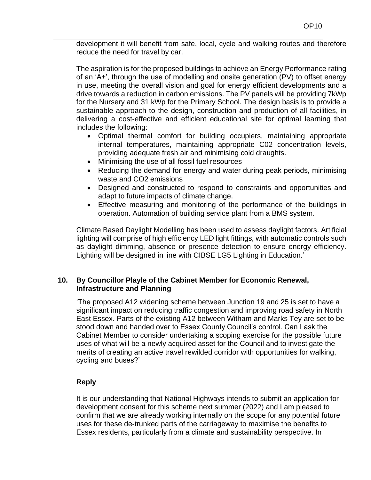development it will benefit from safe, local, cycle and walking routes and therefore reduce the need for travel by car.

The aspiration is for the proposed buildings to achieve an Energy Performance rating of an 'A+', through the use of modelling and onsite generation (PV) to offset energy in use, meeting the overall vision and goal for energy efficient developments and a drive towards a reduction in carbon emissions. The PV panels will be providing 7kWp for the Nursery and 31 kWp for the Primary School. The design basis is to provide a sustainable approach to the design, construction and production of all facilities, in delivering a cost-effective and efficient educational site for optimal learning that includes the following:

- Optimal thermal comfort for building occupiers, maintaining appropriate internal temperatures, maintaining appropriate C02 concentration levels, providing adequate fresh air and minimising cold draughts.
- Minimising the use of all fossil fuel resources
- Reducing the demand for energy and water during peak periods, minimising waste and CO2 emissions
- Designed and constructed to respond to constraints and opportunities and adapt to future impacts of climate change.
- Effective measuring and monitoring of the performance of the buildings in operation. Automation of building service plant from a BMS system.

Climate Based Daylight Modelling has been used to assess daylight factors. Artificial lighting will comprise of high efficiency LED light fittings, with automatic controls such as daylight dimming, absence or presence detection to ensure energy efficiency. Lighting will be designed in line with CIBSE LG5 Lighting in Education.'

## **10. By Councillor Playle of the Cabinet Member for Economic Renewal, Infrastructure and Planning**

'The proposed A12 widening scheme between Junction 19 and 25 is set to have a significant impact on reducing traffic congestion and improving road safety in North East Essex. Parts of the existing A12 between Witham and Marks Tey are set to be stood down and handed over to Essex County Council's control. Can I ask the Cabinet Member to consider undertaking a scoping exercise for the possible future uses of what will be a newly acquired asset for the Council and to investigate the merits of creating an active travel rewilded corridor with opportunities for walking, cycling and buses?'

# **Reply**

It is our understanding that National Highways intends to submit an application for development consent for this scheme next summer (2022) and I am pleased to confirm that we are already working internally on the scope for any potential future uses for these de-trunked parts of the carriageway to maximise the benefits to Essex residents, particularly from a climate and sustainability perspective. In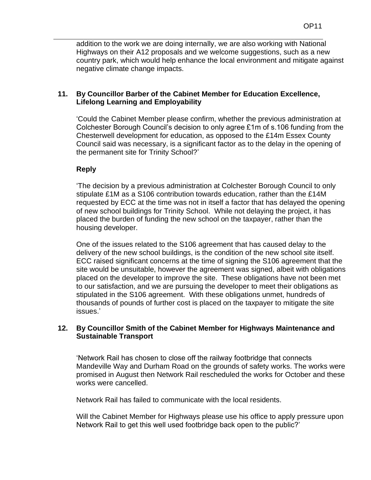addition to the work we are doing internally, we are also working with National Highways on their A12 proposals and we welcome suggestions, such as a new country park, which would help enhance the local environment and mitigate against negative climate change impacts.

#### **11. By Councillor Barber of the Cabinet Member for Education Excellence, Lifelong Learning and Employability**

'Could the Cabinet Member please confirm, whether the previous administration at Colchester Borough Council's decision to only agree £1m of s.106 funding from the Chesterwell development for education, as opposed to the £14m Essex County Council said was necessary, is a significant factor as to the delay in the opening of the permanent site for Trinity School?'

## **Reply**

'The decision by a previous administration at Colchester Borough Council to only stipulate £1M as a S106 contribution towards education, rather than the £14M requested by ECC at the time was not in itself a factor that has delayed the opening of new school buildings for Trinity School. While not delaying the project, it has placed the burden of funding the new school on the taxpayer, rather than the housing developer.

One of the issues related to the S106 agreement that has caused delay to the delivery of the new school buildings, is the condition of the new school site itself. ECC raised significant concerns at the time of signing the S106 agreement that the site would be unsuitable, however the agreement was signed, albeit with obligations placed on the developer to improve the site. These obligations have not been met to our satisfaction, and we are pursuing the developer to meet their obligations as stipulated in the S106 agreement. With these obligations unmet, hundreds of thousands of pounds of further cost is placed on the taxpayer to mitigate the site issues.'

## **12. By Councillor Smith of the Cabinet Member for Highways Maintenance and Sustainable Transport**

'Network Rail has chosen to close off the railway footbridge that connects Mandeville Way and Durham Road on the grounds of safety works. The works were promised in August then Network Rail rescheduled the works for October and these works were cancelled.

Network Rail has failed to communicate with the local residents.

Will the Cabinet Member for Highways please use his office to apply pressure upon Network Rail to get this well used footbridge back open to the public?'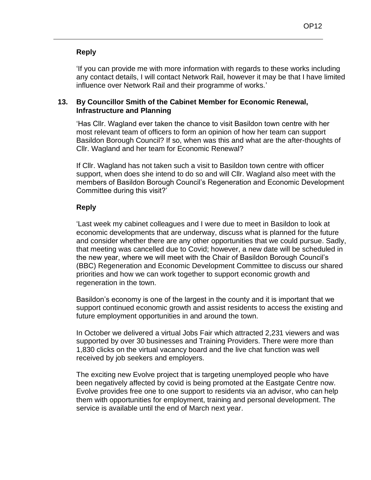#### **Reply**

'If you can provide me with more information with regards to these works including any contact details, I will contact Network Rail, however it may be that I have limited influence over Network Rail and their programme of works.'

### **13. By Councillor Smith of the Cabinet Member for Economic Renewal, Infrastructure and Planning**

'Has Cllr. Wagland ever taken the chance to visit Basildon town centre with her most relevant team of officers to form an opinion of how her team can support Basildon Borough Council? If so, when was this and what are the after-thoughts of Cllr. Wagland and her team for Economic Renewal?

If Cllr. Wagland has not taken such a visit to Basildon town centre with officer support, when does she intend to do so and will Cllr. Wagland also meet with the members of Basildon Borough Council's Regeneration and Economic Development Committee during this visit?'

## **Reply**

'Last week my cabinet colleagues and I were due to meet in Basildon to look at economic developments that are underway, discuss what is planned for the future and consider whether there are any other opportunities that we could pursue. Sadly, that meeting was cancelled due to Covid; however, a new date will be scheduled in the new year, where we will meet with the Chair of Basildon Borough Council's (BBC) Regeneration and Economic Development Committee to discuss our shared priorities and how we can work together to support economic growth and regeneration in the town.

Basildon's economy is one of the largest in the county and it is important that we support continued economic growth and assist residents to access the existing and future employment opportunities in and around the town.

In October we delivered a virtual Jobs Fair which attracted 2,231 viewers and was supported by over 30 businesses and Training Providers. There were more than 1,830 clicks on the virtual vacancy board and the live chat function was well received by job seekers and employers.

The exciting new Evolve project that is targeting unemployed people who have been negatively affected by covid is being promoted at the Eastgate Centre now. Evolve provides free one to one support to residents via an advisor, who can help them with opportunities for employment, training and personal development. The service is available until the end of March next year.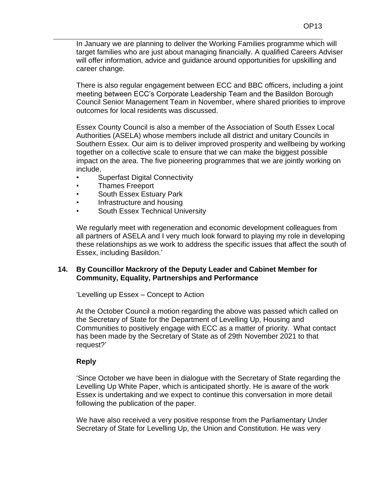There is also regular engagement between ECC and BBC officers, including a joint meeting between ECC's Corporate Leadership Team and the Basildon Borough Council Senior Management Team in November, where shared priorities to improve outcomes for local residents was discussed.

Essex County Council is also a member of the Association of South Essex Local Authorities (ASELA) whose members include all district and unitary Councils in Southern Essex. Our aim is to deliver improved prosperity and wellbeing by working together on a collective scale to ensure that we can make the biggest possible impact on the area. The five pioneering programmes that we are jointly working on include,

- Superfast Digital Connectivity
- Thames Freeport
- South Essex Estuary Park
- Infrastructure and housing
- South Essex Technical University

We regularly meet with regeneration and economic development colleagues from all partners of ASELA and I very much look forward to playing my role in developing these relationships as we work to address the specific issues that affect the south of Essex, including Basildon.'

#### **14. By Councillor Mackrory of the Deputy Leader and Cabinet Member for Community, Equality, Partnerships and Performance**

'Levelling up Essex – Concept to Action

At the October Council a motion regarding the above was passed which called on the Secretary of State for the Department of Levelling Up, Housing and Communities to positively engage with ECC as a matter of priority. What contact has been made by the Secretary of State as of 29th November 2021 to that request?'

# **Reply**

'Since October we have been in dialogue with the Secretary of State regarding the Levelling Up White Paper, which is anticipated shortly. He is aware of the work Essex is undertaking and we expect to continue this conversation in more detail following the publication of the paper.

We have also received a very positive response from the Parliamentary Under Secretary of State for Levelling Up, the Union and Constitution. He was very